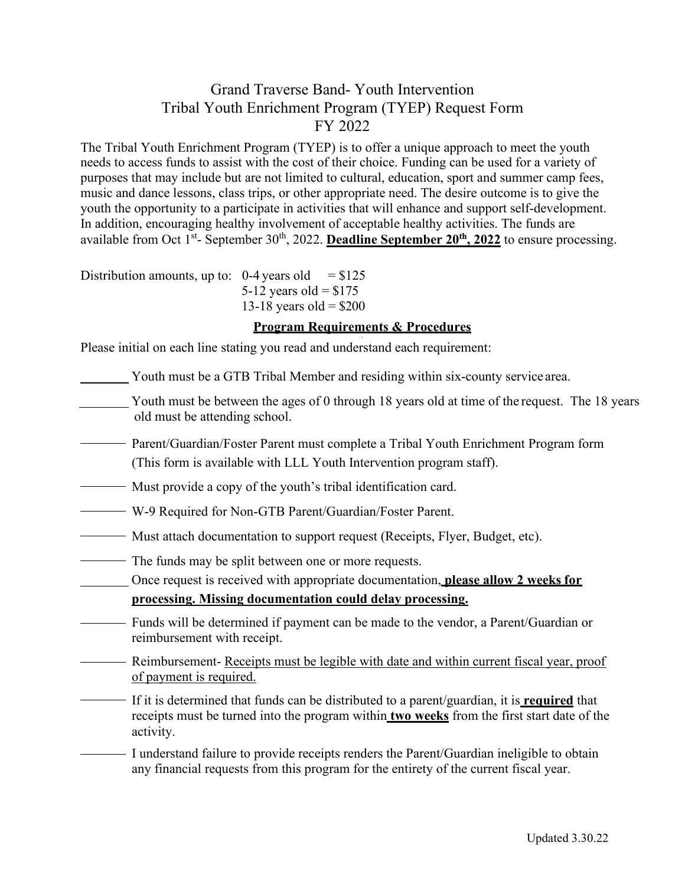## Grand Traverse Band- Youth Intervention Tribal Youth Enrichment Program (TYEP) Request Form FY 2022

The Tribal Youth Enrichment Program (TYEP) is to offer a unique approach to meet the youth needs to access funds to assist with the cost of their choice. Funding can be used for a variety of purposes that may include but are not limited to cultural, education, sport and summer camp fees, music and dance lessons, class trips, or other appropriate need. The desire outcome is to give the youth the opportunity to a participate in activities that will enhance and support self-development. In addition, encouraging healthy involvement of acceptable healthy activities. The funds are available from Oct 1<sup>st</sup>- September 30<sup>th</sup>, 2022. **Deadline September 20<sup>th</sup>, 2022** to ensure processing.

Distribution amounts, up to:  $0-4$  years old = \$125 5-12 years old =  $$175$ 13-18 years old =  $$200$ 

## **Program Requirements & Procedures**

Please initial on each line stating you read and understand each requirement:

- Youth must be a GTB Tribal Member and residing within six-county service area.
- Youth must be between the ages of 0 through 18 years old at time of the request. The 18 years old must be attending school.
- Parent/Guardian/Foster Parent must complete a Tribal Youth Enrichment Program form (This form is available with LLL Youth Intervention program staff).
- Must provide a copy of the youth's tribal identification card.
- W-9 Required for Non-GTB Parent/Guardian/Foster Parent.
- <u>Example 20</u> Must attach documentation to support request (Receipts, Flyer, Budget, etc).
- The funds may be split between one or more requests.

Once request is received with appropriate documentation, **please allow 2 weeks for processing. Missing documentation could delay processing.**

- Funds will be determined if payment can be made to the vendor, a Parent/Guardian or reimbursement with receipt.
- Reimbursement- Receipts must be legible with date and within current fiscal year, proof of payment is required.
	- If it is determined that funds can be distributed to a parent/guardian, it is **required** that receipts must be turned into the program within **two weeks** from the first start date of the activity.
- I understand failure to provide receipts renders the Parent/Guardian ineligible to obtain any financial requests from this program for the entirety of the current fiscal year.